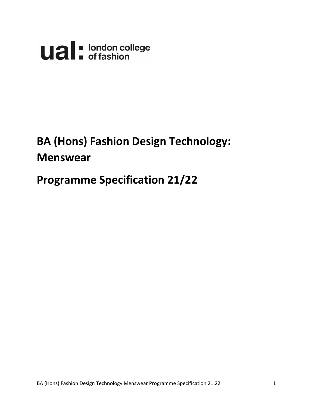

# **BA (Hons) Fashion Design Technology: Menswear**

## **Programme Specification 21/22**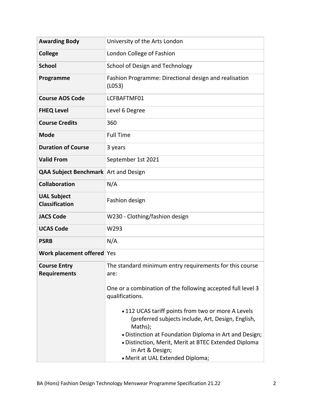| <b>Awarding Body</b>                        | University of the Arts London                                                                                                                                          |
|---------------------------------------------|------------------------------------------------------------------------------------------------------------------------------------------------------------------------|
| <b>College</b>                              | London College of Fashion                                                                                                                                              |
| <b>School</b>                               | School of Design and Technology                                                                                                                                        |
| Programme                                   | Fashion Programme: Directional design and realisation<br>(L053)                                                                                                        |
| <b>Course AOS Code</b>                      | LCFBAFTMF01                                                                                                                                                            |
| <b>FHEQ Level</b>                           | Level 6 Degree                                                                                                                                                         |
| <b>Course Credits</b>                       | 360                                                                                                                                                                    |
| <b>Mode</b>                                 | <b>Full Time</b>                                                                                                                                                       |
| <b>Duration of Course</b>                   | 3 years                                                                                                                                                                |
| <b>Valid From</b>                           | September 1st 2021                                                                                                                                                     |
| <b>QAA Subject Benchmark</b> Art and Design |                                                                                                                                                                        |
| <b>Collaboration</b>                        | N/A                                                                                                                                                                    |
| <b>UAL Subject</b><br><b>Classification</b> | Fashion design                                                                                                                                                         |
| <b>JACS Code</b>                            | W230 - Clothing/fashion design                                                                                                                                         |
| <b>UCAS Code</b>                            | W293                                                                                                                                                                   |
| <b>PSRB</b>                                 | N/A                                                                                                                                                                    |
| Work placement offered Yes                  |                                                                                                                                                                        |
| <b>Course Entry</b><br><b>Requirements</b>  | The standard minimum entry requirements for this course<br>are:<br>One or a combination of the following accepted full level 3                                         |
|                                             | qualifications.                                                                                                                                                        |
|                                             | • 112 UCAS tariff points from two or more A Levels<br>(preferred subjects include, Art, Design, English,<br>Maths);                                                    |
|                                             | . Distinction at Foundation Diploma in Art and Design;<br>· Distinction, Merit, Merit at BTEC Extended Diploma<br>in Art & Design;<br>• Merit at UAL Extended Diploma; |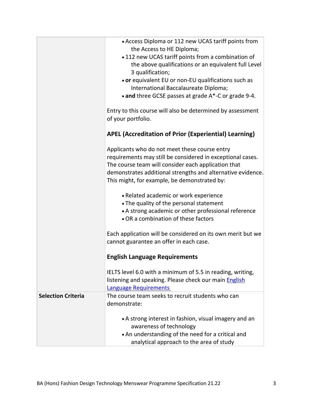|                           | • Access Diploma or 112 new UCAS tariff points from<br>the Access to HE Diploma;<br>• 112 new UCAS tariff points from a combination of<br>the above qualifications or an equivalent full Level<br>3 qualification;<br>• or equivalent EU or non-EU qualifications such as<br>International Baccalaureate Diploma;<br>• and three GCSE passes at grade A*-C or grade 9-4.<br>Entry to this course will also be determined by assessment |
|---------------------------|----------------------------------------------------------------------------------------------------------------------------------------------------------------------------------------------------------------------------------------------------------------------------------------------------------------------------------------------------------------------------------------------------------------------------------------|
|                           | of your portfolio.<br><b>APEL (Accreditation of Prior (Experiential) Learning)</b>                                                                                                                                                                                                                                                                                                                                                     |
|                           |                                                                                                                                                                                                                                                                                                                                                                                                                                        |
|                           | Applicants who do not meet these course entry<br>requirements may still be considered in exceptional cases.<br>The course team will consider each application that<br>demonstrates additional strengths and alternative evidence.<br>This might, for example, be demonstrated by:                                                                                                                                                      |
|                           | • Related academic or work experience<br>• The quality of the personal statement<br>• A strong academic or other professional reference<br>• OR a combination of these factors                                                                                                                                                                                                                                                         |
|                           | Each application will be considered on its own merit but we<br>cannot guarantee an offer in each case.                                                                                                                                                                                                                                                                                                                                 |
|                           | <b>English Language Requirements</b>                                                                                                                                                                                                                                                                                                                                                                                                   |
|                           | IELTS level 6.0 with a minimum of 5.5 in reading, writing,<br>listening and speaking. Please check our main English<br><b>Language Requirements</b>                                                                                                                                                                                                                                                                                    |
| <b>Selection Criteria</b> | The course team seeks to recruit students who can<br>demonstrate:                                                                                                                                                                                                                                                                                                                                                                      |
|                           | • A strong interest in fashion, visual imagery and an<br>awareness of technology<br>• An understanding of the need for a critical and<br>analytical approach to the area of study                                                                                                                                                                                                                                                      |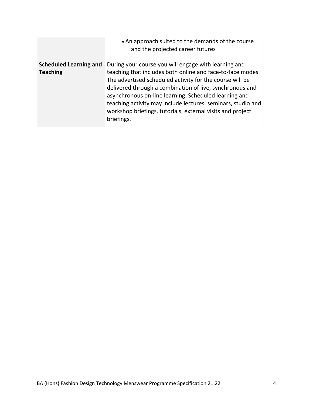|                               | • An approach suited to the demands of the course<br>and the projected career futures                                                                                                                                                                                                                                                                                                   |
|-------------------------------|-----------------------------------------------------------------------------------------------------------------------------------------------------------------------------------------------------------------------------------------------------------------------------------------------------------------------------------------------------------------------------------------|
| <b>Scheduled Learning and</b> | During your course you will engage with learning and                                                                                                                                                                                                                                                                                                                                    |
| <b>Teaching</b>               | teaching that includes both online and face-to-face modes.<br>The advertised scheduled activity for the course will be<br>delivered through a combination of live, synchronous and<br>asynchronous on-line learning. Scheduled learning and<br>teaching activity may include lectures, seminars, studio and<br>workshop briefings, tutorials, external visits and project<br>briefings. |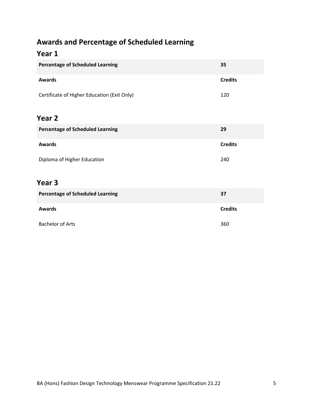## **Awards and Percentage of Scheduled Learning**

## **Year 1**

| <b>Percentage of Scheduled Learning</b>     | 35             |
|---------------------------------------------|----------------|
| <b>Awards</b>                               | <b>Credits</b> |
| Certificate of Higher Education (Exit Only) | 120            |
| Year 2                                      |                |
| <b>Percentage of Scheduled Learning</b>     | 29             |
| <b>Awards</b>                               | <b>Credits</b> |
| Diploma of Higher Education                 | 240            |
| Year <sub>3</sub>                           |                |
| <b>Percentage of Scheduled Learning</b>     | 37             |
| <b>Awards</b>                               | <b>Credits</b> |

Bachelor of Arts 360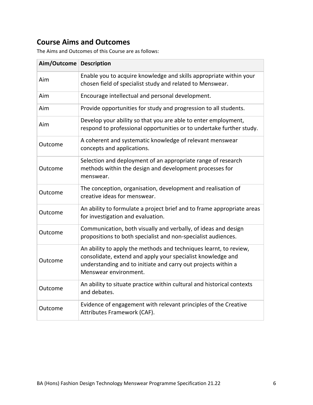## **Course Aims and Outcomes**

The Aims and Outcomes of this Course are as follows:

| Aim/Outcome | <b>Description</b>                                                                                                                                                                                                         |
|-------------|----------------------------------------------------------------------------------------------------------------------------------------------------------------------------------------------------------------------------|
| Aim         | Enable you to acquire knowledge and skills appropriate within your<br>chosen field of specialist study and related to Menswear.                                                                                            |
| Aim         | Encourage intellectual and personal development.                                                                                                                                                                           |
| Aim         | Provide opportunities for study and progression to all students.                                                                                                                                                           |
| Aim         | Develop your ability so that you are able to enter employment,<br>respond to professional opportunities or to undertake further study.                                                                                     |
| Outcome     | A coherent and systematic knowledge of relevant menswear<br>concepts and applications.                                                                                                                                     |
| Outcome     | Selection and deployment of an appropriate range of research<br>methods within the design and development processes for<br>menswear.                                                                                       |
| Outcome     | The conception, organisation, development and realisation of<br>creative ideas for menswear.                                                                                                                               |
| Outcome     | An ability to formulate a project brief and to frame appropriate areas<br>for investigation and evaluation.                                                                                                                |
| Outcome     | Communication, both visually and verbally, of ideas and design<br>propositions to both specialist and non-specialist audiences.                                                                                            |
| Outcome     | An ability to apply the methods and techniques learnt, to review,<br>consolidate, extend and apply your specialist knowledge and<br>understanding and to initiate and carry out projects within a<br>Menswear environment. |
| Outcome     | An ability to situate practice within cultural and historical contexts<br>and debates.                                                                                                                                     |
| Outcome     | Evidence of engagement with relevant principles of the Creative<br>Attributes Framework (CAF).                                                                                                                             |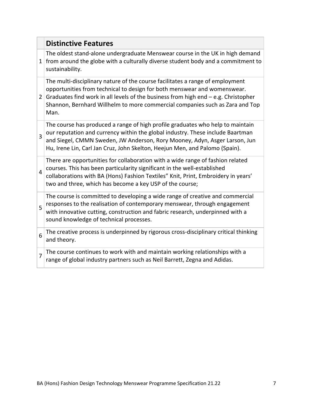|                | <b>Distinctive Features</b>                                                                                                                                                                                                                                                                                                               |
|----------------|-------------------------------------------------------------------------------------------------------------------------------------------------------------------------------------------------------------------------------------------------------------------------------------------------------------------------------------------|
| $\mathbf{1}$   | The oldest stand-alone undergraduate Menswear course in the UK in high demand<br>from around the globe with a culturally diverse student body and a commitment to<br>sustainability.                                                                                                                                                      |
| 2              | The multi-disciplinary nature of the course facilitates a range of employment<br>opportunities from technical to design for both menswear and womenswear.<br>Graduates find work in all levels of the business from high end $-$ e.g. Christopher<br>Shannon, Bernhard Willhelm to more commercial companies such as Zara and Top<br>Man. |
| 3              | The course has produced a range of high profile graduates who help to maintain<br>our reputation and currency within the global industry. These include Baartman<br>and Siegel, CMMN Sweden, JW Anderson, Rory Mooney, Adyn, Asger Larson, Jun<br>Hu, Irene Lin, Carl Jan Cruz, John Skelton, Heejun Men, and Palomo (Spain).             |
| $\overline{4}$ | There are opportunities for collaboration with a wide range of fashion related<br>courses. This has been particularity significant in the well-established<br>collaborations with BA (Hons) Fashion Textiles" Knit, Print, Embroidery in years'<br>two and three, which has become a key USP of the course;                               |
| 5              | The course is committed to developing a wide range of creative and commercial<br>responses to the realisation of contemporary menswear, through engagement<br>with innovative cutting, construction and fabric research, underpinned with a<br>sound knowledge of technical processes.                                                    |
| 6              | The creative process is underpinned by rigorous cross-disciplinary critical thinking<br>and theory.                                                                                                                                                                                                                                       |
| $\overline{7}$ | The course continues to work with and maintain working relationships with a<br>range of global industry partners such as Neil Barrett, Zegna and Adidas.                                                                                                                                                                                  |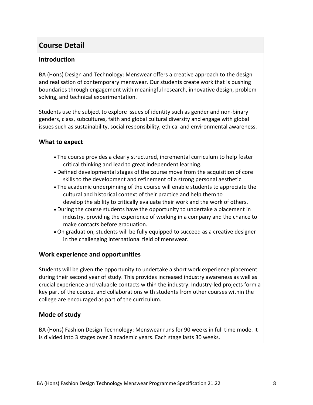## **Course Detail**

#### **Introduction**

BA (Hons) Design and Technology: Menswear offers a creative approach to the design and realisation of contemporary menswear. Our students create work that is pushing boundaries through engagement with meaningful research, innovative design, problem solving, and technical experimentation.

Students use the subject to explore issues of identity such as gender and non-binary genders, class, subcultures, faith and global cultural diversity and engage with global issues such as sustainability, social responsibility, ethical and environmental awareness.

#### **What to expect**

- The course provides a clearly structured, incremental curriculum to help foster critical thinking and lead to great independent learning.
- Defined developmental stages of the course move from the acquisition of core skills to the development and refinement of a strong personal aesthetic.
- The academic underpinning of the course will enable students to appreciate the cultural and historical context of their practice and help them to develop the ability to critically evaluate their work and the work of others.
- During the course students have the opportunity to undertake a placement in industry, providing the experience of working in a company and the chance to make contacts before graduation.
- On graduation, students will be fully equipped to succeed as a creative designer in the challenging international field of menswear.

#### **Work experience and opportunities**

Students will be given the opportunity to undertake a short work experience placement during their second year of study. This provides increased industry awareness as well as crucial experience and valuable contacts within the industry. Industry-led projects form a key part of the course, and collaborations with students from other courses within the college are encouraged as part of the curriculum.

#### **Mode of study**

BA (Hons) Fashion Design Technology: Menswear runs for 90 weeks in full time mode. It is divided into 3 stages over 3 academic years. Each stage lasts 30 weeks.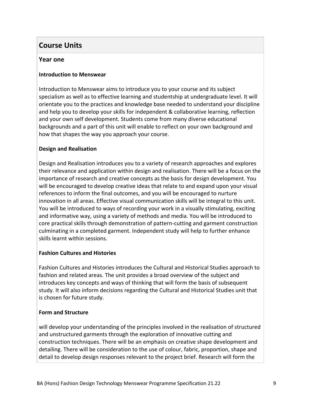## **Course Units**

#### **Year one**

#### **Introduction to Menswear**

Introduction to Menswear aims to introduce you to your course and its subject specialism as well as to effective learning and studentship at undergraduate level. It will orientate you to the practices and knowledge base needed to understand your discipline and help you to develop your skills for independent & collaborative learning, reflection and your own self development. Students come from many diverse educational backgrounds and a part of this unit will enable to reflect on your own background and how that shapes the way you approach your course.

#### **Design and Realisation**

Design and Realisation introduces you to a variety of research approaches and explores their relevance and application within design and realisation. There will be a focus on the importance of research and creative concepts as the basis for design development. You will be encouraged to develop creative ideas that relate to and expand upon your visual references to inform the final outcomes, and you will be encouraged to nurture innovation in all areas. Effective visual communication skills will be integral to this unit. You will be introduced to ways of recording your work in a visually stimulating, exciting and informative way, using a variety of methods and media. You will be introduced to core practical skills through demonstration of pattern-cutting and garment construction culminating in a completed garment. Independent study will help to further enhance skills learnt within sessions.

#### **Fashion Cultures and Histories**

Fashion Cultures and Histories introduces the Cultural and Historical Studies approach to fashion and related areas. The unit provides a broad overview of the subject and introduces key concepts and ways of thinking that will form the basis of subsequent study. It will also inform decisions regarding the Cultural and Historical Studies unit that is chosen for future study.

#### **Form and Structure**

will develop your understanding of the principles involved in the realisation of structured and unstructured garments through the exploration of innovative cutting and construction techniques. There will be an emphasis on creative shape development and detailing. There will be consideration to the use of colour, fabric, proportion, shape and detail to develop design responses relevant to the project brief. Research will form the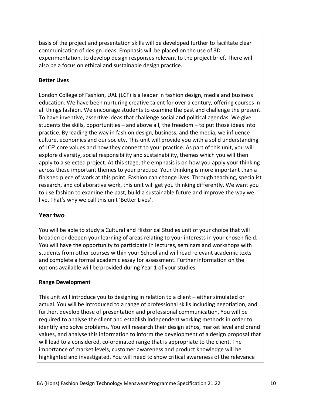basis of the project and presentation skills will be developed further to facilitate clear communication of design ideas. Emphasis will be placed on the use of 3D experimentation, to develop design responses relevant to the project brief. There will also be a focus on ethical and sustainable design practice.

#### **Better Lives**

London College of Fashion, UAL (LCF) is a leader in fashion design, media and business education. We have been nurturing creative talent for over a century, offering courses in all things fashion. We encourage students to examine the past and challenge the present. To have inventive, assertive ideas that challenge social and political agendas. We give students the skills, opportunities – and above all, the freedom – to put those ideas into practice. By leading the way in fashion design, business, and the media, we influence culture, economics and our society. This unit will provide you with a solid understanding of LCF' core values and how they connect to your practice. As part of this unit, you will explore diversity, social responsibility and sustainability, themes which you will then apply to a selected project. At this stage, the emphasis is on how you apply your thinking across these important themes to your practice. Your thinking is more important than a finished piece of work at this point. Fashion can change lives. Through teaching, specialist research, and collaborative work, this unit will get you thinking differently. We want you to use fashion to examine the past, build a sustainable future and improve the way we live. That's why we call this unit 'Better Lives'.

#### **Year two**

You will be able to study a Cultural and Historical Studies unit of your choice that will broaden or deepen your learning of areas relating to your interests in your chosen field. You will have the opportunity to participate in lectures, seminars and workshops with students from other courses within your School and will read relevant academic texts and complete a formal academic essay for assessment. Further information on the options available will be provided during Year 1 of your studies.

#### **Range Development**

This unit will introduce you to designing in relation to a client – either simulated or actual. You will be introduced to a range of professional skills including negotiation, and further, develop those of presentation and professional communication. You will be required to analyse the client and establish independent working methods in order to identify and solve problems. You will research their design ethos, market level and brand values, and analyse this information to inform the development of a design proposal that will lead to a considered, co-ordinated range that is appropriate to the client. The importance of market levels, customer awareness and product knowledge will be highlighted and investigated. You will need to show critical awareness of the relevance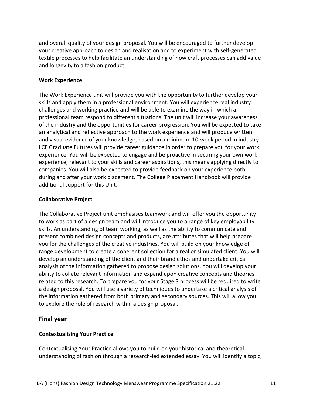and overall quality of your design proposal. You will be encouraged to further develop your creative approach to design and realisation and to experiment with self-generated textile processes to help facilitate an understanding of how craft processes can add value and longevity to a fashion product.

#### **Work Experience**

The Work Experience unit will provide you with the opportunity to further develop your skills and apply them in a professional environment. You will experience real industry challenges and working practice and will be able to examine the way in which a professional team respond to different situations. The unit will increase your awareness of the industry and the opportunities for career progression. You will be expected to take an analytical and reflective approach to the work experience and will produce written and visual evidence of your knowledge, based on a minimum 10-week period in industry. LCF Graduate Futures will provide career guidance in order to prepare you for your work experience. You will be expected to engage and be proactive in securing your own work experience, relevant to your skills and career aspirations, this means applying directly to companies. You will also be expected to provide feedback on your experience both during and after your work placement. The College Placement Handbook will provide additional support for this Unit.

#### **Collaborative Project**

The Collaborative Project unit emphasises teamwork and will offer you the opportunity to work as part of a design team and will introduce you to a range of key employability skills. An understanding of team working, as well as the ability to communicate and present combined design concepts and products, are attributes that will help prepare you for the challenges of the creative industries. You will build on your knowledge of range development to create a coherent collection for a real or simulated client. You will develop an understanding of the client and their brand ethos and undertake critical analysis of the information gathered to propose design solutions. You will develop your ability to collate relevant information and expand upon creative concepts and theories related to this research. To prepare you for your Stage 3 process will be required to write a design proposal. You will use a variety of techniques to undertake a critical analysis of the information gathered from both primary and secondary sources. This will allow you to explore the role of research within a design proposal.

#### **Final year**

#### **Contextualising Your Practice**

Contextualising Your Practice allows you to build on your historical and theoretical understanding of fashion through a research-led extended essay. You will identify a topic,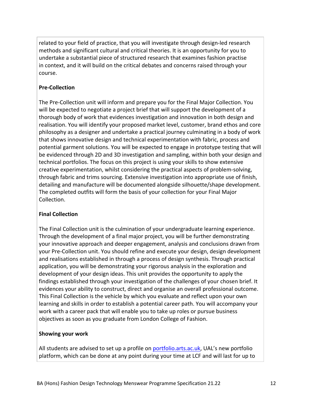related to your field of practice, that you will investigate through design-led research methods and significant cultural and critical theories. It is an opportunity for you to undertake a substantial piece of structured research that examines fashion practise in context, and it will build on the critical debates and concerns raised through your course.

#### **Pre-Collection**

The Pre-Collection unit will inform and prepare you for the Final Major Collection. You will be expected to negotiate a project brief that will support the development of a thorough body of work that evidences investigation and innovation in both design and realisation. You will identify your proposed market level, customer, brand ethos and core philosophy as a designer and undertake a practical journey culminating in a body of work that shows innovative design and technical experimentation with fabric, process and potential garment solutions. You will be expected to engage in prototype testing that will be evidenced through 2D and 3D investigation and sampling, within both your design and technical portfolios. The focus on this project is using your skills to show extensive creative experimentation, whilst considering the practical aspects of problem-solving, through fabric and trims sourcing. Extensive investigation into appropriate use of finish, detailing and manufacture will be documented alongside silhouette/shape development. The completed outfits will form the basis of your collection for your Final Major Collection.

#### **Final Collection**

The Final Collection unit is the culmination of your undergraduate learning experience. Through the development of a final major project, you will be further demonstrating your innovative approach and deeper engagement, analysis and conclusions drawn from your Pre-Collection unit. You should refine and execute your design, design development and realisations established in through a process of design synthesis. Through practical application, you will be demonstrating your rigorous analysis in the exploration and development of your design ideas. This unit provides the opportunity to apply the findings established through your investigation of the challenges of your chosen brief. It evidences your ability to construct, direct and organise an overall professional outcome. This Final Collection is the vehicle by which you evaluate and reflect upon your own learning and skills in order to establish a potential career path. You will accompany your work with a career pack that will enable you to take up roles or pursue business objectives as soon as you graduate from London College of Fashion.

#### **Showing your work**

All students are advised to set up a profile on [portfolio.arts.ac.uk](https://portfolio.arts.ac.uk/), UAL's new portfolio platform, which can be done at any point during your time at LCF and will last for up to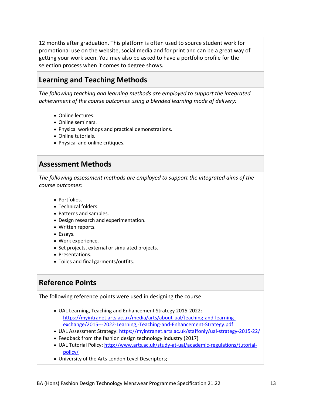12 months after graduation. This platform is often used to source student work for promotional use on the website, social media and for print and can be a great way of getting your work seen. You may also be asked to have a portfolio profile for the selection process when it comes to degree shows.

## **Learning and Teaching Methods**

*The following teaching and learning methods are employed to support the integrated achievement of the course outcomes using a blended learning mode of delivery:*

- Online lectures.
- Online seminars.
- Physical workshops and practical demonstrations.
- Online tutorials.
- Physical and online critiques.

### **Assessment Methods**

*The following assessment methods are employed to support the integrated aims of the course outcomes:*

- Portfolios.
- Technical folders.
- Patterns and samples.
- Design research and experimentation.
- Written reports.
- Essays.
- Work experience.
- Set projects, external or simulated projects.
- Presentations.
- Toiles and final garments/outfits.

### **Reference Points**

The following reference points were used in designing the course:

- UAL Learning, Teaching and Enhancement Strategy 2015-2022: [https://myintranet.arts.ac.uk/media/arts/about-ual/teaching-and-learning](https://myintranet.arts.ac.uk/media/arts/about-ual/teaching-and-learning-exchange/2015---2022-Learning,-Teaching-and-Enhancement-Strategy.pdf)[exchange/2015---2022-Learning,-Teaching-and-Enhancement-Strategy.pdf](https://myintranet.arts.ac.uk/media/arts/about-ual/teaching-and-learning-exchange/2015---2022-Learning,-Teaching-and-Enhancement-Strategy.pdf)
- UAL Assessment Strategy:<https://myintranet.arts.ac.uk/staffonly/ual-strategy-2015-22/>
- Feedback from the fashion design technology industry (2017)
- UAL Tutorial Policy: [http://www.arts.ac.uk/study-at-ual/academic-regulations/tutorial](http://www.arts.ac.uk/study-at-ual/academic-regulations/tutorial-policy/)[policy/](http://www.arts.ac.uk/study-at-ual/academic-regulations/tutorial-policy/)
- University of the Arts London Level Descriptors;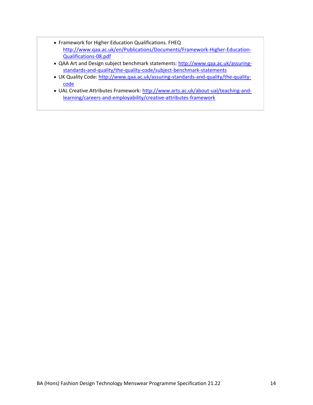- Framework for Higher Education Qualifications. FHEQ [http://www.qaa.ac.uk/en/Publications/Documents/Framework-Higher-Education-](http://www.qaa.ac.uk/en/Publications/Documents/Framework-Higher-Education-Qualifications-08.pdf)[Qualifications-08.pdf](http://www.qaa.ac.uk/en/Publications/Documents/Framework-Higher-Education-Qualifications-08.pdf)
- QAA Art and Design subject benchmark statements: [http://www.qaa.ac.uk/assuring](http://www.qaa.ac.uk/assuring-standards-and-quality/the-quality-code/subject-benchmark-statements)[standards-and-quality/the-quality-code/subject-benchmark-statements](http://www.qaa.ac.uk/assuring-standards-and-quality/the-quality-code/subject-benchmark-statements)
- UK Quality Code: [http://www.qaa.ac.uk/assuring-standards-and-quality/the-quality](http://www.qaa.ac.uk/assuring-standards-and-quality/the-quality-code)[code](http://www.qaa.ac.uk/assuring-standards-and-quality/the-quality-code)
- UAL Creative Attributes Framework[: http://www.arts.ac.uk/about-ual/teaching-and](http://www.arts.ac.uk/about-ual/teaching-and-learning/careers-and-employability/creative-attributes-framework)[learning/careers-and-employability/creative-attributes-framework](http://www.arts.ac.uk/about-ual/teaching-and-learning/careers-and-employability/creative-attributes-framework)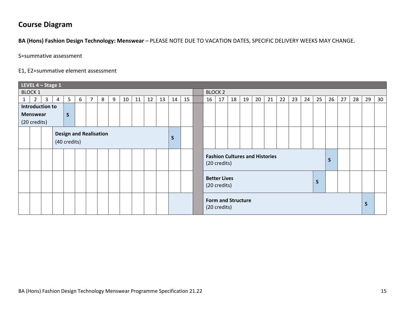## **Course Diagram**

**BA (Hons) Fashion Design Technology: Menswear** – PLEASE NOTE DUE TO VACATION DATES, SPECIFIC DELIVERY WEEKS MAY CHANGE.

S=summative assessment

#### E1, E2=summative element assessment

|                                 | LEVEL $4 - $ Stage 1               |                |                |              |   |             |   |   |    |    |                |    |    |    |  |                           |                                                       |    |    |    |    |    |    |    |    |    |    |    |    |    |
|---------------------------------|------------------------------------|----------------|----------------|--------------|---|-------------|---|---|----|----|----------------|----|----|----|--|---------------------------|-------------------------------------------------------|----|----|----|----|----|----|----|----|----|----|----|----|----|
| <b>BLOCK 1</b>                  |                                    |                |                |              |   |             |   |   |    |    | <b>BLOCK 2</b> |    |    |    |  |                           |                                                       |    |    |    |    |    |    |    |    |    |    |    |    |    |
| 1                               | $\overline{2}$                     | 3 <sup>7</sup> | $\overline{4}$ | 5            | 6 | $7^{\circ}$ | 8 | 9 | 10 | 11 | 12             | 13 | 14 | 15 |  | 16                        | 17                                                    | 18 | 19 | 20 | 21 | 22 | 23 | 24 | 25 | 26 | 27 | 28 | 29 | 30 |
| Introduction to                 |                                    |                |                |              |   |             |   |   |    |    |                |    |    |    |  |                           |                                                       |    |    |    |    |    |    |    |    |    |    |    |    |    |
| <b>Menswear</b><br>$\mathsf{S}$ |                                    |                |                |              |   |             |   |   |    |    |                |    |    |    |  |                           |                                                       |    |    |    |    |    |    |    |    |    |    |    |    |    |
|                                 | (20 credits)                       |                |                |              |   |             |   |   |    |    |                |    |    |    |  |                           |                                                       |    |    |    |    |    |    |    |    |    |    |    |    |    |
|                                 |                                    |                |                |              |   |             |   |   |    |    |                |    |    |    |  |                           |                                                       |    |    |    |    |    |    |    |    |    |    |    |    |    |
|                                 | <b>Design and Realisation</b><br>S |                |                |              |   |             |   |   |    |    |                |    |    |    |  |                           |                                                       |    |    |    |    |    |    |    |    |    |    |    |    |    |
|                                 |                                    |                |                | (40 credits) |   |             |   |   |    |    |                |    |    |    |  |                           |                                                       |    |    |    |    |    |    |    |    |    |    |    |    |    |
|                                 |                                    |                |                |              |   |             |   |   |    |    |                |    |    |    |  |                           |                                                       |    |    |    |    |    |    |    |    |    |    |    |    |    |
|                                 |                                    |                |                |              |   |             |   |   |    |    |                |    |    |    |  |                           | <b>Fashion Cultures and Histories</b><br>(20 credits) |    |    |    |    |    |    |    |    | S  |    |    |    |    |
|                                 |                                    |                |                |              |   |             |   |   |    |    |                |    |    |    |  |                           |                                                       |    |    |    |    |    |    |    |    |    |    |    |    |    |
|                                 |                                    |                |                |              |   |             |   |   |    |    |                |    |    |    |  |                           |                                                       |    |    |    |    |    |    |    |    |    |    |    |    |    |
|                                 |                                    |                |                |              |   |             |   |   |    |    |                |    |    |    |  |                           | <b>Better Lives</b><br>(20 credits)                   |    |    |    |    |    |    |    | S  |    |    |    |    |    |
|                                 |                                    |                |                |              |   |             |   |   |    |    |                |    |    |    |  |                           |                                                       |    |    |    |    |    |    |    |    |    |    |    |    |    |
|                                 |                                    |                |                |              |   |             |   |   |    |    |                |    |    |    |  | <b>Form and Structure</b> |                                                       |    |    |    |    |    |    |    |    |    |    |    |    |    |
|                                 |                                    |                |                |              |   |             |   |   |    |    |                |    |    |    |  |                           | (20 credits)                                          |    |    |    |    |    |    |    |    |    |    |    | S  |    |
|                                 |                                    |                |                |              |   |             |   |   |    |    |                |    |    |    |  |                           |                                                       |    |    |    |    |    |    |    |    |    |    |    |    |    |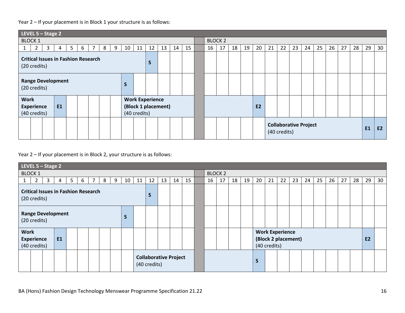#### Year 2 – If your placement is in Block 1 your structure is as follows:

| LEVEL 5 - Stage 2                                                                          |                                                                            |                        |  |  |  |  |  |  |  |  |  |  |  |  |  |
|--------------------------------------------------------------------------------------------|----------------------------------------------------------------------------|------------------------|--|--|--|--|--|--|--|--|--|--|--|--|--|
| <b>BLOCK 1</b>                                                                             | <b>BLOCK 2</b>                                                             |                        |  |  |  |  |  |  |  |  |  |  |  |  |  |
| 12<br>$\overline{2}$<br>3<br>7<br>10<br>11<br>13<br>14<br>15<br>9<br>5<br>6<br>8<br>1<br>4 | 25<br>27<br>17<br>20<br>23<br>24<br>26<br>28<br>16<br>18<br>19<br>21<br>22 | 29<br>30               |  |  |  |  |  |  |  |  |  |  |  |  |  |
| <b>Critical Issues in Fashion Research</b><br>S<br>(20 credits)                            |                                                                            |                        |  |  |  |  |  |  |  |  |  |  |  |  |  |
| <b>Range Development</b><br>S<br>(20 credits)                                              |                                                                            |                        |  |  |  |  |  |  |  |  |  |  |  |  |  |
| <b>Work</b><br><b>Work Experience</b>                                                      |                                                                            |                        |  |  |  |  |  |  |  |  |  |  |  |  |  |
| (Block 1 placement)<br>E1<br><b>Experience</b>                                             | <b>E2</b>                                                                  |                        |  |  |  |  |  |  |  |  |  |  |  |  |  |
| (40 credits)<br>(40 credits)                                                               |                                                                            |                        |  |  |  |  |  |  |  |  |  |  |  |  |  |
|                                                                                            | <b>Collaborative Project</b><br>(40 credits)                               | <b>E1</b><br><b>E2</b> |  |  |  |  |  |  |  |  |  |  |  |  |  |

Year 2 – If your placement is in Block 2, your structure is as follows:

| LEVEL $5 -$ Stage 2                                                                                           |                                                                            |           |  |  |  |  |  |  |  |  |  |  |  |  |
|---------------------------------------------------------------------------------------------------------------|----------------------------------------------------------------------------|-----------|--|--|--|--|--|--|--|--|--|--|--|--|
| <b>BLOCK 1</b>                                                                                                | <b>BLOCK 2</b>                                                             |           |  |  |  |  |  |  |  |  |  |  |  |  |
| $\mathbf{3}$<br>$\overline{7}$<br>12<br>13<br>15<br>5 <sub>1</sub><br>6<br>8<br>9<br>10<br>2<br>11<br>14<br>4 | 16<br>20<br>23<br>24<br>25<br>26<br>27<br>28<br>17<br>18<br>19<br>21<br>22 | 29<br>30  |  |  |  |  |  |  |  |  |  |  |  |  |
| <b>Critical Issues in Fashion Research</b><br>S<br>(20 credits)                                               |                                                                            |           |  |  |  |  |  |  |  |  |  |  |  |  |
| <b>Range Development</b><br>S<br>(20 credits)                                                                 |                                                                            |           |  |  |  |  |  |  |  |  |  |  |  |  |
| <b>Work</b><br><b>Experience</b><br>E <sub>1</sub><br>(40 credits)                                            | <b>Work Experience</b><br>(Block 2 placement)<br>(40 credits)              | <b>E2</b> |  |  |  |  |  |  |  |  |  |  |  |  |
| <b>Collaborative Project</b><br>(40 credits)                                                                  | <sub>S</sub>                                                               |           |  |  |  |  |  |  |  |  |  |  |  |  |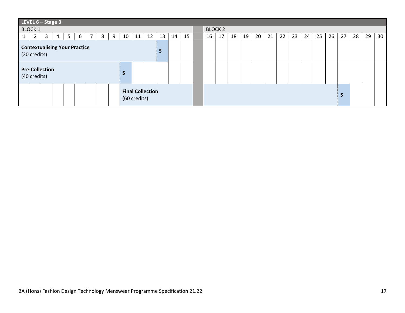|                                                      | LEVEL $6 -$ Stage 3                                 |                |                |                |   |   |   |   |    |    |    |                |    |    |  |    |    |    |    |    |    |    |    |    |    |    |    |    |    |    |
|------------------------------------------------------|-----------------------------------------------------|----------------|----------------|----------------|---|---|---|---|----|----|----|----------------|----|----|--|----|----|----|----|----|----|----|----|----|----|----|----|----|----|----|
|                                                      | <b>BLOCK 1</b>                                      |                |                |                |   |   |   |   |    |    |    | <b>BLOCK 2</b> |    |    |  |    |    |    |    |    |    |    |    |    |    |    |    |    |    |    |
|                                                      | 2                                                   | 3 <sup>1</sup> | $\overline{4}$ | 5 <sup>5</sup> | 6 | 7 | 8 | 9 | 10 | 11 | 12 | 13             | 14 | 15 |  | 16 | 17 | 18 | 19 | 20 | 21 | 22 | 23 | 24 | 25 | 26 | 27 | 28 | 29 | 30 |
| <b>Contextualising Your Practice</b><br>(20 credits) |                                                     |                |                |                |   |   |   |   |    |    |    |                |    |    |  |    |    |    |    |    |    |    |    |    |    |    |    |    |    |    |
|                                                      | <b>Pre-Collection</b><br>$\epsilon$<br>(40 credits) |                |                |                |   |   |   |   |    |    |    |                |    |    |  |    |    |    |    |    |    |    |    |    |    |    |    |    |    |    |
| <b>Final Collection</b><br>(60 credits)              |                                                     |                |                |                |   |   |   |   |    |    |    |                |    |    |  |    |    |    |    |    |    |    |    |    |    |    |    |    |    |    |